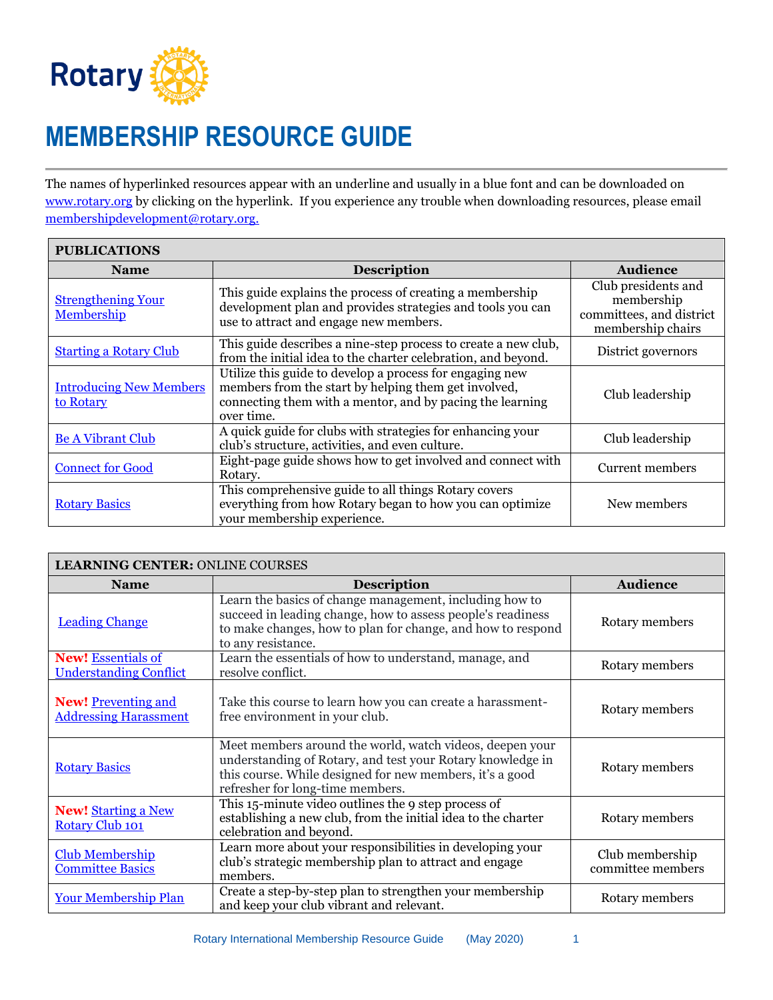

 $\blacksquare$ 

## **MEMBERSHIP RESOURCE GUIDE**

The names of hyperlinked resources appear with an underline and usually in a blue font and can be downloaded on [www.rotary.org](http://www.rotary.org/) by clicking on the hyperlink. If you experience any trouble when downloading resources, please email [membershipdevelopment@rotary.org.](mailto:membershipdevelopment@rotary.org)

| <b>PUBLICATIONS</b>                         |                                                                                                                                                                                             |                                                                                    |  |
|---------------------------------------------|---------------------------------------------------------------------------------------------------------------------------------------------------------------------------------------------|------------------------------------------------------------------------------------|--|
| <b>Name</b>                                 | <b>Description</b>                                                                                                                                                                          | <b>Audience</b>                                                                    |  |
| <b>Strengthening Your</b><br>Membership     | This guide explains the process of creating a membership<br>development plan and provides strategies and tools you can<br>use to attract and engage new members.                            | Club presidents and<br>membership<br>committees, and district<br>membership chairs |  |
| <b>Starting a Rotary Club</b>               | This guide describes a nine-step process to create a new club,<br>from the initial idea to the charter celebration, and beyond.                                                             | District governors                                                                 |  |
| <b>Introducing New Members</b><br>to Rotary | Utilize this guide to develop a process for engaging new<br>members from the start by helping them get involved,<br>connecting them with a mentor, and by pacing the learning<br>over time. | Club leadership                                                                    |  |
| <b>Be A Vibrant Club</b>                    | A quick guide for clubs with strategies for enhancing your<br>club's structure, activities, and even culture.                                                                               | Club leadership                                                                    |  |
| <b>Connect for Good</b>                     | Eight-page guide shows how to get involved and connect with<br>Rotary.                                                                                                                      | Current members                                                                    |  |
| <b>Rotary Basics</b>                        | This comprehensive guide to all things Rotary covers<br>everything from how Rotary began to how you can optimize<br>your membership experience.                                             | New members                                                                        |  |

| <b>LEARNING CENTER: ONLINE COURSES</b>                     |                                                                                                                                                                                                                        |                                      |  |
|------------------------------------------------------------|------------------------------------------------------------------------------------------------------------------------------------------------------------------------------------------------------------------------|--------------------------------------|--|
| <b>Name</b>                                                | <b>Description</b>                                                                                                                                                                                                     | <b>Audience</b>                      |  |
| <b>Leading Change</b>                                      | Learn the basics of change management, including how to<br>succeed in leading change, how to assess people's readiness<br>to make changes, how to plan for change, and how to respond<br>to any resistance.            | Rotary members                       |  |
| <b>New!</b> Essentials of<br><b>Understanding Conflict</b> | Learn the essentials of how to understand, manage, and<br>resolve conflict.                                                                                                                                            | Rotary members                       |  |
| <b>New!</b> Preventing and<br><b>Addressing Harassment</b> | Take this course to learn how you can create a harassment-<br>free environment in your club.                                                                                                                           | Rotary members                       |  |
| <b>Rotary Basics</b>                                       | Meet members around the world, watch videos, deepen your<br>understanding of Rotary, and test your Rotary knowledge in<br>this course. While designed for new members, it's a good<br>refresher for long-time members. | Rotary members                       |  |
| <b>New! Starting a New</b><br><b>Rotary Club 101</b>       | This 15-minute video outlines the 9 step process of<br>establishing a new club, from the initial idea to the charter<br>celebration and beyond.                                                                        | Rotary members                       |  |
| <b>Club Membership</b><br><b>Committee Basics</b>          | Learn more about your responsibilities in developing your<br>club's strategic membership plan to attract and engage<br>members.                                                                                        | Club membership<br>committee members |  |
| <b>Your Membership Plan</b>                                | Create a step-by-step plan to strengthen your membership<br>and keep your club vibrant and relevant.                                                                                                                   | Rotary members                       |  |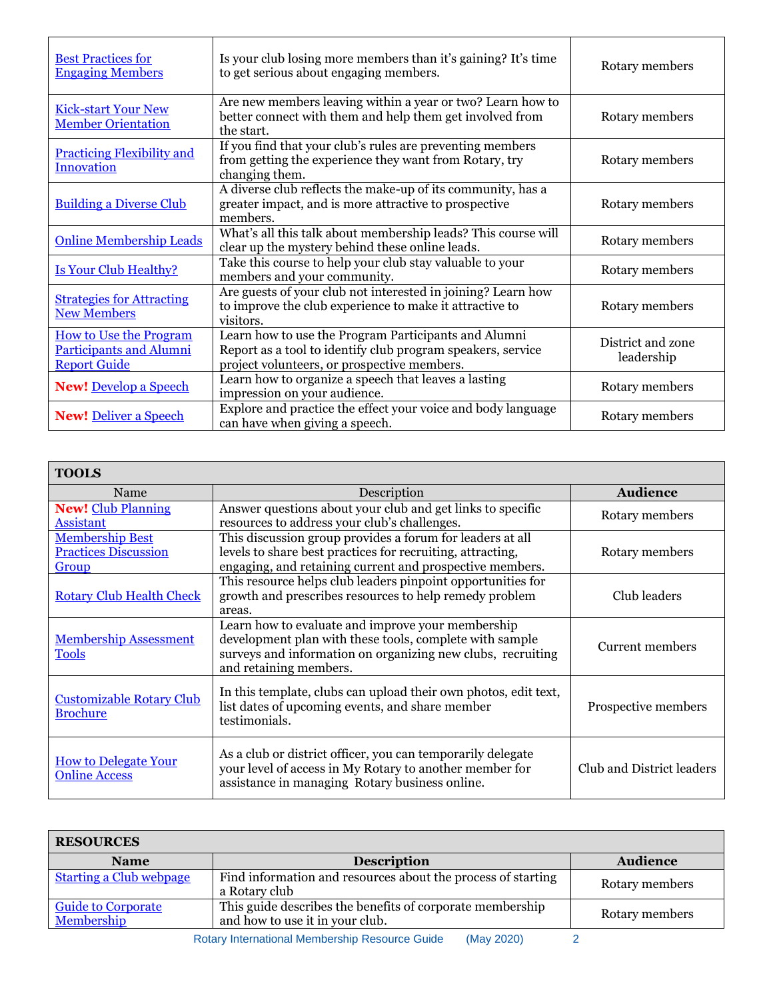| <b>Best Practices for</b><br><b>Engaging Members</b>                                   | Is your club losing more members than it's gaining? It's time<br>to get serious about engaging members.                                                            | Rotary members                  |
|----------------------------------------------------------------------------------------|--------------------------------------------------------------------------------------------------------------------------------------------------------------------|---------------------------------|
| <b>Kick-start Your New</b><br><b>Member Orientation</b>                                | Are new members leaving within a year or two? Learn how to<br>better connect with them and help them get involved from<br>the start.                               | Rotary members                  |
| <b>Practicing Flexibility and</b><br><b>Innovation</b>                                 | If you find that your club's rules are preventing members<br>from getting the experience they want from Rotary, try<br>changing them.                              | Rotary members                  |
| <b>Building a Diverse Club</b>                                                         | A diverse club reflects the make-up of its community, has a<br>greater impact, and is more attractive to prospective<br>members.                                   | Rotary members                  |
| <b>Online Membership Leads</b>                                                         | What's all this talk about membership leads? This course will<br>clear up the mystery behind these online leads.                                                   | Rotary members                  |
| <b>Is Your Club Healthy?</b>                                                           | Take this course to help your club stay valuable to your<br>members and your community.                                                                            | Rotary members                  |
| <b>Strategies for Attracting</b><br><b>New Members</b>                                 | Are guests of your club not interested in joining? Learn how<br>to improve the club experience to make it attractive to<br>visitors.                               | Rotary members                  |
| <b>How to Use the Program</b><br><b>Participants and Alumni</b><br><b>Report Guide</b> | Learn how to use the Program Participants and Alumni<br>Report as a tool to identify club program speakers, service<br>project volunteers, or prospective members. | District and zone<br>leadership |
| <b>New!</b> Develop a Speech                                                           | Learn how to organize a speech that leaves a lasting<br>impression on your audience.                                                                               | Rotary members                  |
| <b>New! Deliver a Speech</b>                                                           | Explore and practice the effect your voice and body language<br>can have when giving a speech.                                                                     | Rotary members                  |

 $\overline{\mathbf{r}}$ 

 $\overline{\phantom{0}}$ 

 $\mathsf{r}$ 

┑

| <b>TOOLS</b>                                                   |                                                                                                                                                                                                       |                           |  |
|----------------------------------------------------------------|-------------------------------------------------------------------------------------------------------------------------------------------------------------------------------------------------------|---------------------------|--|
| Name                                                           | Description                                                                                                                                                                                           | <b>Audience</b>           |  |
| <b>New! Club Planning</b><br><b>Assistant</b>                  | Answer questions about your club and get links to specific<br>resources to address your club's challenges.                                                                                            | Rotary members            |  |
| <b>Membership Best</b><br><b>Practices Discussion</b><br>Group | This discussion group provides a forum for leaders at all<br>levels to share best practices for recruiting, attracting,<br>engaging, and retaining current and prospective members.                   | Rotary members            |  |
| <b>Rotary Club Health Check</b>                                | This resource helps club leaders pinpoint opportunities for<br>growth and prescribes resources to help remedy problem<br>areas.                                                                       | Club leaders              |  |
| <b>Membership Assessment</b><br><b>Tools</b>                   | Learn how to evaluate and improve your membership<br>development plan with these tools, complete with sample<br>surveys and information on organizing new clubs, recruiting<br>and retaining members. | Current members           |  |
| <b>Customizable Rotary Club</b><br><b>Brochure</b>             | In this template, clubs can upload their own photos, edit text,<br>list dates of upcoming events, and share member<br>testimonials.                                                                   | Prospective members       |  |
| <b>How to Delegate Your</b><br><b>Online Access</b>            | As a club or district officer, you can temporarily delegate<br>your level of access in My Rotary to another member for<br>assistance in managing Rotary business online.                              | Club and District leaders |  |

| <b>RESOURCES</b>                        |                                                                                              |                 |
|-----------------------------------------|----------------------------------------------------------------------------------------------|-----------------|
| <b>Name</b>                             | <b>Description</b>                                                                           | <b>Audience</b> |
| <b>Starting a Club webpage</b>          | Find information and resources about the process of starting<br>a Rotary club                | Rotary members  |
| <b>Guide to Corporate</b><br>Membership | This guide describes the benefits of corporate membership<br>and how to use it in your club. | Rotary members  |
|                                         | <b>Detery International Membership Peneuroe Cuide</b><br>$(M_{01}, 2020)$                    |                 |

Rotary International Membership Resource Guide (May 2020) 2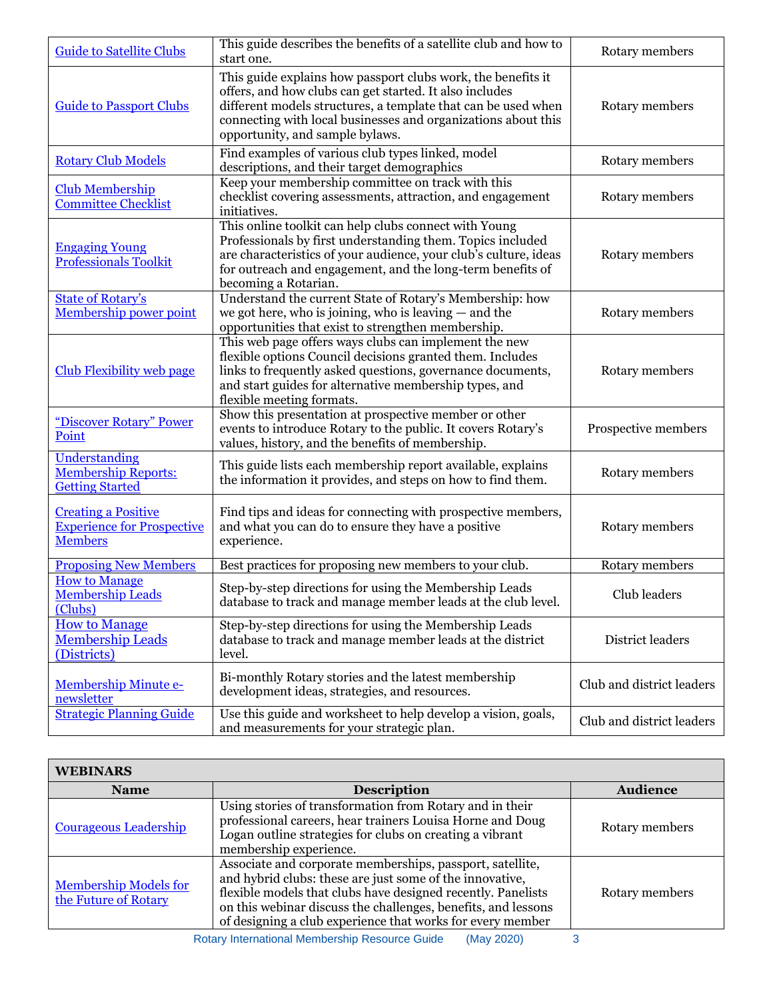| <b>Guide to Satellite Clubs</b>                                                   | This guide describes the benefits of a satellite club and how to<br>start one.                                                                                                                                                                                                               | Rotary members            |
|-----------------------------------------------------------------------------------|----------------------------------------------------------------------------------------------------------------------------------------------------------------------------------------------------------------------------------------------------------------------------------------------|---------------------------|
| <b>Guide to Passport Clubs</b>                                                    | This guide explains how passport clubs work, the benefits it<br>offers, and how clubs can get started. It also includes<br>different models structures, a template that can be used when<br>connecting with local businesses and organizations about this<br>opportunity, and sample bylaws. | Rotary members            |
| <b>Rotary Club Models</b>                                                         | Find examples of various club types linked, model<br>descriptions, and their target demographics                                                                                                                                                                                             | Rotary members            |
| <b>Club Membership</b><br><b>Committee Checklist</b>                              | Keep your membership committee on track with this<br>checklist covering assessments, attraction, and engagement<br>initiatives.                                                                                                                                                              | Rotary members            |
| <b>Engaging Young</b><br><b>Professionals Toolkit</b>                             | This online toolkit can help clubs connect with Young<br>Professionals by first understanding them. Topics included<br>are characteristics of your audience, your club's culture, ideas<br>for outreach and engagement, and the long-term benefits of<br>becoming a Rotarian.                | Rotary members            |
| <b>State of Rotary's</b><br>Membership power point                                | Understand the current State of Rotary's Membership: how<br>we got here, who is joining, who is leaving $-$ and the<br>opportunities that exist to strengthen membership.                                                                                                                    | Rotary members            |
| <b>Club Flexibility web page</b>                                                  | This web page offers ways clubs can implement the new<br>flexible options Council decisions granted them. Includes<br>links to frequently asked questions, governance documents,<br>and start guides for alternative membership types, and<br>flexible meeting formats.                      | Rotary members            |
| "Discover Rotary" Power<br>Point                                                  | Show this presentation at prospective member or other<br>events to introduce Rotary to the public. It covers Rotary's<br>values, history, and the benefits of membership.                                                                                                                    | Prospective members       |
| Understanding<br><b>Membership Reports:</b><br><b>Getting Started</b>             | This guide lists each membership report available, explains<br>the information it provides, and steps on how to find them.                                                                                                                                                                   | Rotary members            |
| <b>Creating a Positive</b><br><b>Experience for Prospective</b><br><b>Members</b> | Find tips and ideas for connecting with prospective members,<br>and what you can do to ensure they have a positive<br>experience.                                                                                                                                                            | Rotary members            |
| <b>Proposing New Members</b>                                                      | Best practices for proposing new members to your club.                                                                                                                                                                                                                                       | Rotary members            |
| <b>How to Manage</b><br><b>Membership Leads</b><br>(Clubs)                        | Step-by-step directions for using the Membership Leads<br>database to track and manage member leads at the club level.                                                                                                                                                                       | Club leaders              |
| <b>How to Manage</b><br><b>Membership Leads</b><br>(Districts)                    | Step-by-step directions for using the Membership Leads<br>database to track and manage member leads at the district<br>level.                                                                                                                                                                | District leaders          |
| Membership Minute e-<br>newsletter                                                | Bi-monthly Rotary stories and the latest membership<br>development ideas, strategies, and resources.                                                                                                                                                                                         | Club and district leaders |
| <b>Strategic Planning Guide</b>                                                   | Use this guide and worksheet to help develop a vision, goals,<br>and measurements for your strategic plan.                                                                                                                                                                                   | Club and district leaders |

| <b>WEBINARS</b>                                      |                                                                                                                                                                                                                                                                                                                      |                 |
|------------------------------------------------------|----------------------------------------------------------------------------------------------------------------------------------------------------------------------------------------------------------------------------------------------------------------------------------------------------------------------|-----------------|
| <b>Name</b>                                          | <b>Description</b>                                                                                                                                                                                                                                                                                                   | <b>Audience</b> |
| <b>Courageous Leadership</b>                         | Using stories of transformation from Rotary and in their<br>professional careers, hear trainers Louisa Horne and Doug<br>Logan outline strategies for clubs on creating a vibrant<br>membership experience.                                                                                                          | Rotary members  |
| <b>Membership Models for</b><br>the Future of Rotary | Associate and corporate memberships, passport, satellite,<br>and hybrid clubs: these are just some of the innovative,<br>flexible models that clubs have designed recently. Panelists<br>on this webinar discuss the challenges, benefits, and lessons<br>of designing a club experience that works for every member | Rotary members  |